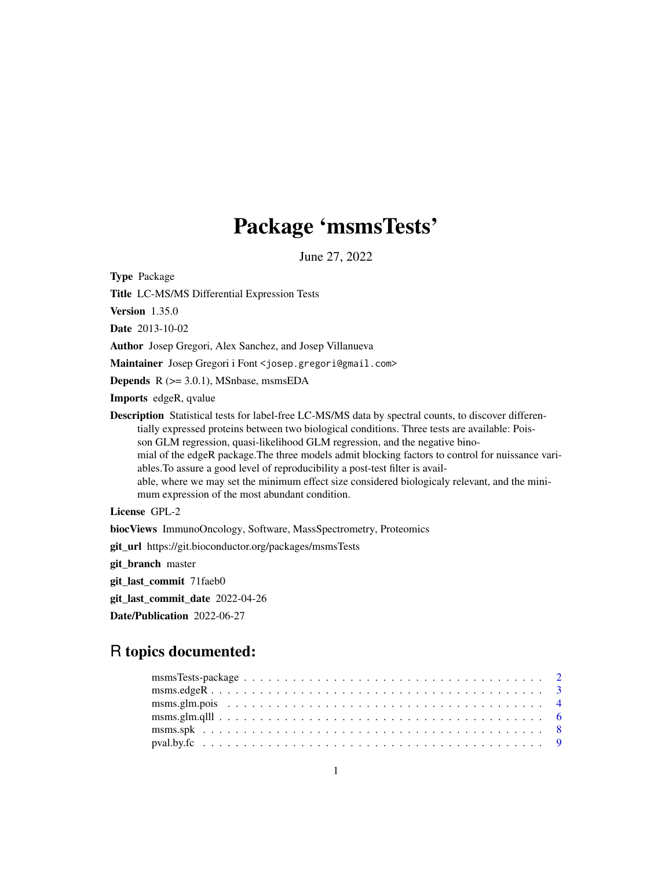## Package 'msmsTests'

June 27, 2022

<span id="page-0-0"></span>Type Package

Title LC-MS/MS Differential Expression Tests

Version 1.35.0

Date 2013-10-02

Author Josep Gregori, Alex Sanchez, and Josep Villanueva

Maintainer Josep Gregori i Font <josep.gregori@gmail.com>

Depends R (>= 3.0.1), MSnbase, msmsEDA

Imports edgeR, qvalue

Description Statistical tests for label-free LC-MS/MS data by spectral counts, to discover differentially expressed proteins between two biological conditions. Three tests are available: Poisson GLM regression, quasi-likelihood GLM regression, and the negative binomial of the edgeR package.The three models admit blocking factors to control for nuissance variables.To assure a good level of reproducibility a post-test filter is available, where we may set the minimum effect size considered biologicaly relevant, and the minimum expression of the most abundant condition.

License GPL-2

biocViews ImmunoOncology, Software, MassSpectrometry, Proteomics

git\_url https://git.bioconductor.org/packages/msmsTests

git\_branch master

git\_last\_commit 71faeb0

git\_last\_commit\_date 2022-04-26

Date/Publication 2022-06-27

## R topics documented: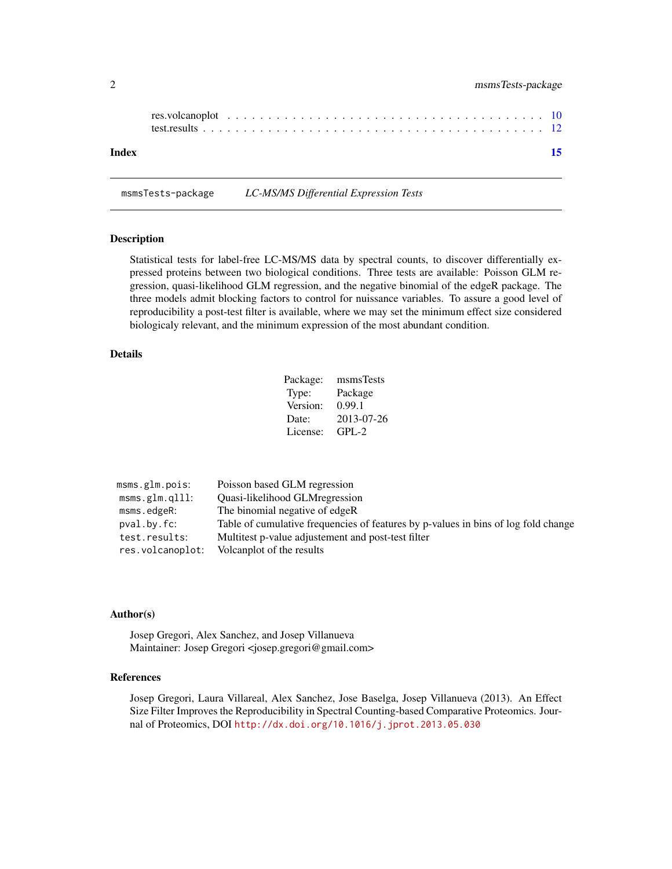<span id="page-1-0"></span>

| Index |  |  |  |  |  |  |  |  |  |  |  |  |  |  |  |  |  |  |
|-------|--|--|--|--|--|--|--|--|--|--|--|--|--|--|--|--|--|--|

msmsTests-package *LC-MS/MS Differential Expression Tests*

## Description

Statistical tests for label-free LC-MS/MS data by spectral counts, to discover differentially expressed proteins between two biological conditions. Three tests are available: Poisson GLM regression, quasi-likelihood GLM regression, and the negative binomial of the edgeR package. The three models admit blocking factors to control for nuissance variables. To assure a good level of reproducibility a post-test filter is available, where we may set the minimum effect size considered biologicaly relevant, and the minimum expression of the most abundant condition.

## Details

| Package: | msmsTests  |
|----------|------------|
| Type:    | Package    |
| Version: | 0.99.1     |
| Date:    | 2013-07-26 |
| License: | $GPL-2$    |

| Poisson based GLM regression<br>msms.glm.pois:                                                    |  |
|---------------------------------------------------------------------------------------------------|--|
| <b>Ouasi-likelihood GLM regression</b><br>msms.glm.qlll:                                          |  |
| The binomial negative of edgeR<br>msms.edgeR:                                                     |  |
| Table of cumulative frequencies of features by p-values in bins of log fold change<br>pval.by.fc: |  |
| Multitest p-value adjustement and post-test filter<br>test.results:                               |  |
| res.volcanoplot:<br>Volcanplot of the results                                                     |  |

## Author(s)

Josep Gregori, Alex Sanchez, and Josep Villanueva Maintainer: Josep Gregori <josep.gregori@gmail.com>

#### References

Josep Gregori, Laura Villareal, Alex Sanchez, Jose Baselga, Josep Villanueva (2013). An Effect Size Filter Improves the Reproducibility in Spectral Counting-based Comparative Proteomics. Journal of Proteomics, DOI <http://dx.doi.org/10.1016/j.jprot.2013.05.030>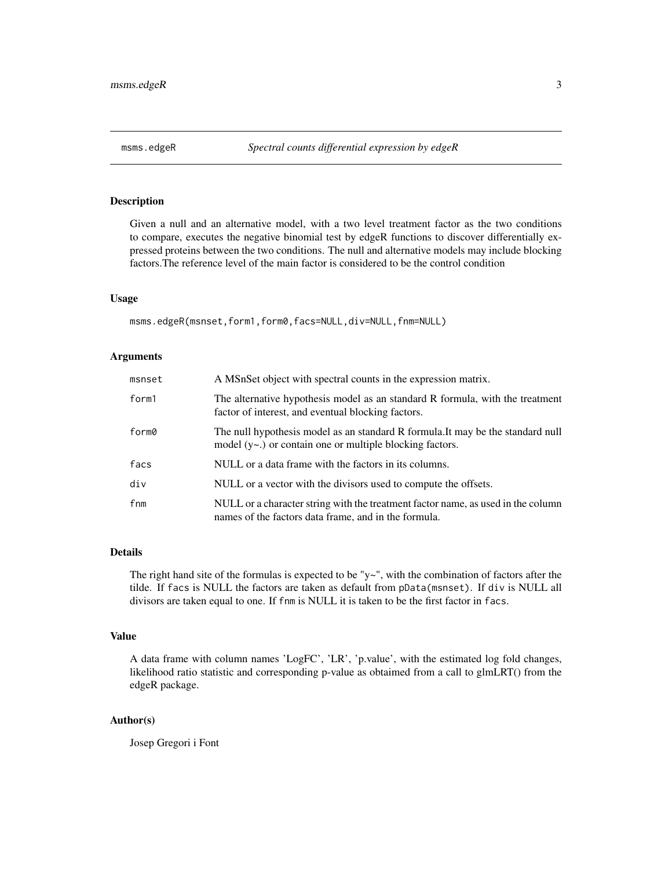<span id="page-2-0"></span>

## Description

Given a null and an alternative model, with a two level treatment factor as the two conditions to compare, executes the negative binomial test by edgeR functions to discover differentially expressed proteins between the two conditions. The null and alternative models may include blocking factors.The reference level of the main factor is considered to be the control condition

#### Usage

msms.edgeR(msnset,form1,form0,facs=NULL,div=NULL,fnm=NULL)

#### Arguments

| msnset | A MSnSet object with spectral counts in the expression matrix.                                                                                   |
|--------|--------------------------------------------------------------------------------------------------------------------------------------------------|
| form1  | The alternative hypothesis model as an standard R formula, with the treatment<br>factor of interest, and eventual blocking factors.              |
| form0  | The null hypothesis model as an standard R formula. It may be the standard null<br>model $(y \sim)$ or contain one or multiple blocking factors. |
| facs   | NULL or a data frame with the factors in its columns.                                                                                            |
| div    | NULL or a vector with the divisors used to compute the offsets.                                                                                  |
| fnm    | NULL or a character string with the treatment factor name, as used in the column<br>names of the factors data frame, and in the formula.         |

## Details

The right hand site of the formulas is expected to be "y~", with the combination of factors after the tilde. If facs is NULL the factors are taken as default from pData(msnset). If div is NULL all divisors are taken equal to one. If fnm is NULL it is taken to be the first factor in facs.

#### Value

A data frame with column names 'LogFC', 'LR', 'p.value', with the estimated log fold changes, likelihood ratio statistic and corresponding p-value as obtaimed from a call to glmLRT() from the edgeR package.

#### Author(s)

Josep Gregori i Font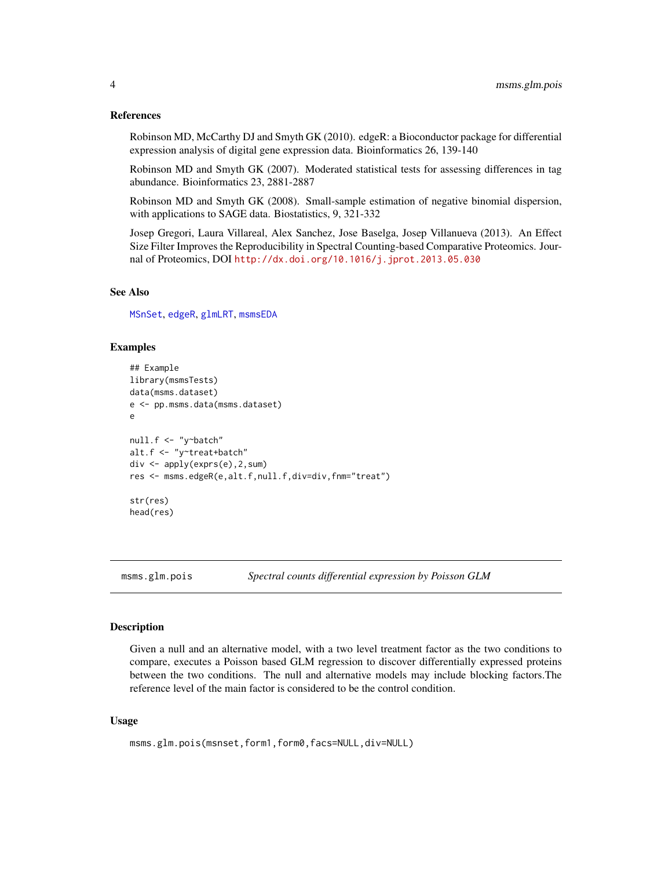#### <span id="page-3-0"></span>References

Robinson MD, McCarthy DJ and Smyth GK (2010). edgeR: a Bioconductor package for differential expression analysis of digital gene expression data. Bioinformatics 26, 139-140

Robinson MD and Smyth GK (2007). Moderated statistical tests for assessing differences in tag abundance. Bioinformatics 23, 2881-2887

Robinson MD and Smyth GK (2008). Small-sample estimation of negative binomial dispersion, with applications to SAGE data. Biostatistics, 9, 321-332

Josep Gregori, Laura Villareal, Alex Sanchez, Jose Baselga, Josep Villanueva (2013). An Effect Size Filter Improves the Reproducibility in Spectral Counting-based Comparative Proteomics. Journal of Proteomics, DOI <http://dx.doi.org/10.1016/j.jprot.2013.05.030>

#### See Also

[MSnSet](#page-0-0), [edgeR](#page-0-0), [glmLRT](#page-0-0), [msmsEDA](#page-0-0)

#### Examples

```
## Example
library(msmsTests)
data(msms.dataset)
e <- pp.msms.data(msms.dataset)
e
null.f <- "y~batch"
alt.f <- "y~treat+batch"
div <- apply(exprs(e),2,sum)
res <- msms.edgeR(e,alt.f,null.f,div=div,fnm="treat")
str(res)
head(res)
```
msms.glm.pois *Spectral counts differential expression by Poisson GLM*

## **Description**

Given a null and an alternative model, with a two level treatment factor as the two conditions to compare, executes a Poisson based GLM regression to discover differentially expressed proteins between the two conditions. The null and alternative models may include blocking factors.The reference level of the main factor is considered to be the control condition.

#### Usage

```
msms.glm.pois(msnset,form1,form0,facs=NULL,div=NULL)
```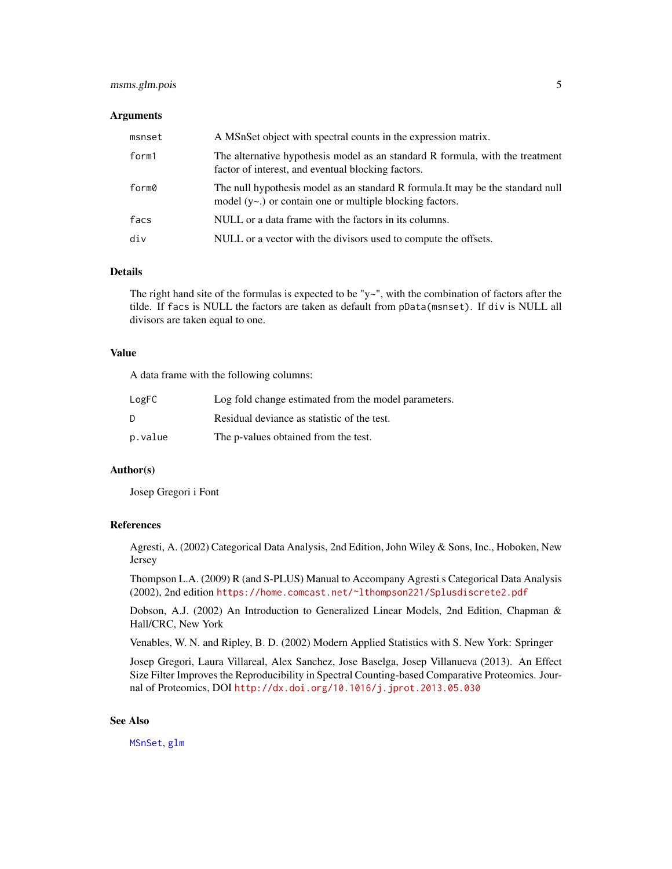## <span id="page-4-0"></span>msms.glm.pois 5

#### **Arguments**

| msnset | A MSnSet object with spectral counts in the expression matrix.                                                                                   |
|--------|--------------------------------------------------------------------------------------------------------------------------------------------------|
| form1  | The alternative hypothesis model as an standard R formula, with the treatment<br>factor of interest, and eventual blocking factors.              |
| form0  | The null hypothesis model as an standard R formula. It may be the standard null<br>model $(y \sim)$ or contain one or multiple blocking factors. |
| facs   | NULL or a data frame with the factors in its columns.                                                                                            |
| div    | NULL or a vector with the divisors used to compute the offsets.                                                                                  |

#### Details

The right hand site of the formulas is expected to be "y~", with the combination of factors after the tilde. If facs is NULL the factors are taken as default from pData(msnset). If div is NULL all divisors are taken equal to one.

#### Value

A data frame with the following columns:

| LogFC   | Log fold change estimated from the model parameters. |
|---------|------------------------------------------------------|
| D.      | Residual deviance as statistic of the test.          |
| p.value | The p-values obtained from the test.                 |

## Author(s)

Josep Gregori i Font

## References

Agresti, A. (2002) Categorical Data Analysis, 2nd Edition, John Wiley & Sons, Inc., Hoboken, New Jersey

Thompson L.A. (2009) R (and S-PLUS) Manual to Accompany Agresti s Categorical Data Analysis (2002), 2nd edition <https://home.comcast.net/~lthompson221/Splusdiscrete2.pdf>

Dobson, A.J. (2002) An Introduction to Generalized Linear Models, 2nd Edition, Chapman & Hall/CRC, New York

Venables, W. N. and Ripley, B. D. (2002) Modern Applied Statistics with S. New York: Springer

Josep Gregori, Laura Villareal, Alex Sanchez, Jose Baselga, Josep Villanueva (2013). An Effect Size Filter Improves the Reproducibility in Spectral Counting-based Comparative Proteomics. Journal of Proteomics, DOI <http://dx.doi.org/10.1016/j.jprot.2013.05.030>

#### See Also

[MSnSet](#page-0-0), [glm](#page-0-0)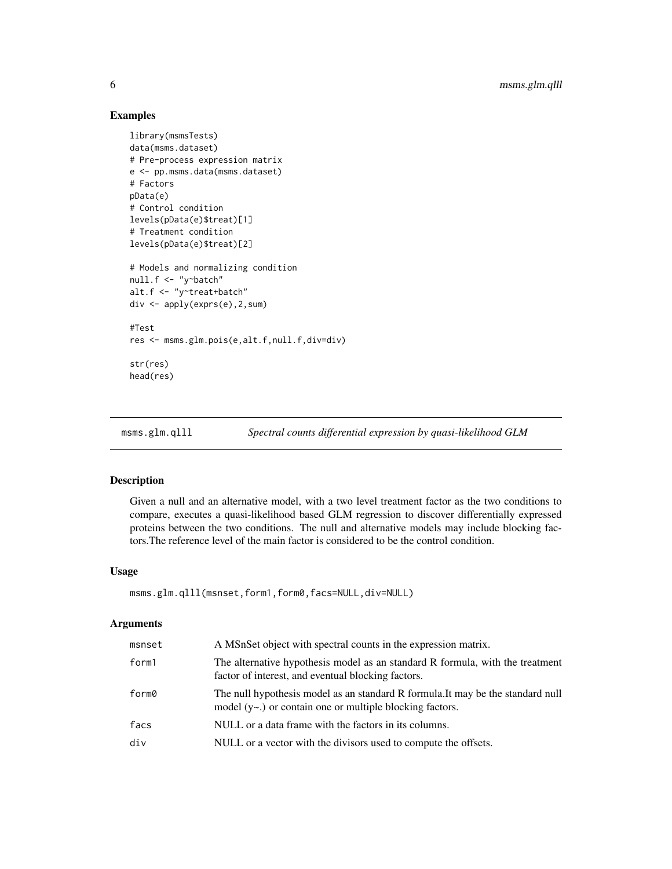## Examples

```
library(msmsTests)
data(msms.dataset)
# Pre-process expression matrix
e <- pp.msms.data(msms.dataset)
# Factors
pData(e)
# Control condition
levels(pData(e)$treat)[1]
# Treatment condition
levels(pData(e)$treat)[2]
# Models and normalizing condition
null.f <- "y~batch"
alt.f <- "y~treat+batch"
div <- apply(exprs(e),2,sum)
#Test
res <- msms.glm.pois(e,alt.f,null.f,div=div)
str(res)
head(res)
```
msms.glm.qlll *Spectral counts differential expression by quasi-likelihood GLM*

## Description

Given a null and an alternative model, with a two level treatment factor as the two conditions to compare, executes a quasi-likelihood based GLM regression to discover differentially expressed proteins between the two conditions. The null and alternative models may include blocking factors.The reference level of the main factor is considered to be the control condition.

#### Usage

```
msms.glm.qlll(msnset,form1,form0,facs=NULL,div=NULL)
```
#### Arguments

| msnset | A MSnSet object with spectral counts in the expression matrix.                                                                                   |
|--------|--------------------------------------------------------------------------------------------------------------------------------------------------|
| form1  | The alternative hypothesis model as an standard R formula, with the treatment<br>factor of interest, and eventual blocking factors.              |
| form0  | The null hypothesis model as an standard R formula. It may be the standard null<br>model $(y \sim)$ or contain one or multiple blocking factors. |
| facs   | NULL or a data frame with the factors in its columns.                                                                                            |
| div    | NULL or a vector with the divisors used to compute the offsets.                                                                                  |

<span id="page-5-0"></span>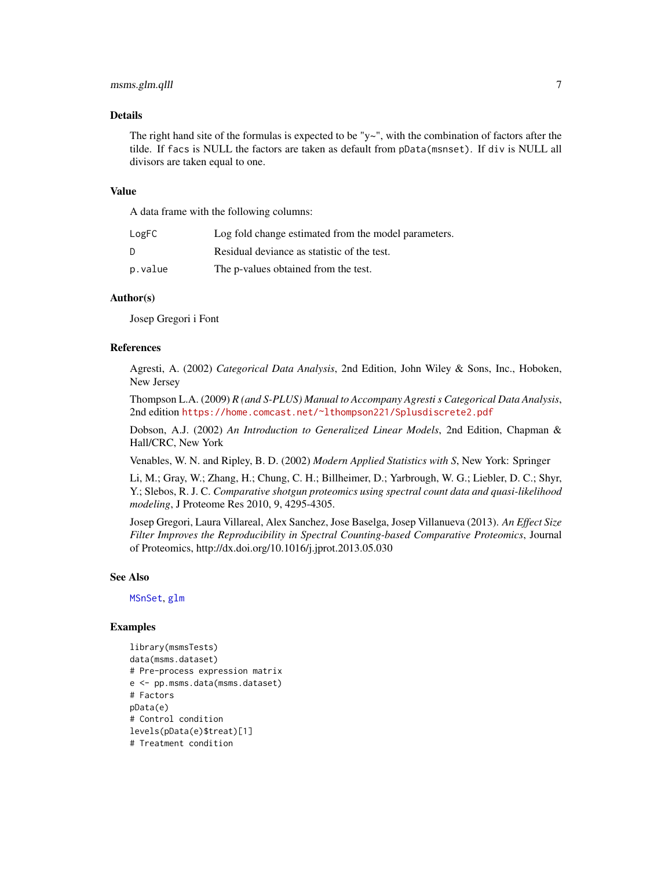## <span id="page-6-0"></span>msms.glm.qlll 7

#### Details

The right hand site of the formulas is expected to be " $y \sim$ ", with the combination of factors after the tilde. If facs is NULL the factors are taken as default from pData(msnset). If div is NULL all divisors are taken equal to one.

#### Value

A data frame with the following columns:

| LogFC   | Log fold change estimated from the model parameters. |
|---------|------------------------------------------------------|
| D       | Residual deviance as statistic of the test.          |
| p.value | The p-values obtained from the test.                 |

## Author(s)

Josep Gregori i Font

#### References

Agresti, A. (2002) *Categorical Data Analysis*, 2nd Edition, John Wiley & Sons, Inc., Hoboken, New Jersey

Thompson L.A. (2009) *R (and S-PLUS) Manual to Accompany Agresti s Categorical Data Analysis*, 2nd edition <https://home.comcast.net/~lthompson221/Splusdiscrete2.pdf>

Dobson, A.J. (2002) *An Introduction to Generalized Linear Models*, 2nd Edition, Chapman & Hall/CRC, New York

Venables, W. N. and Ripley, B. D. (2002) *Modern Applied Statistics with S*, New York: Springer

Li, M.; Gray, W.; Zhang, H.; Chung, C. H.; Billheimer, D.; Yarbrough, W. G.; Liebler, D. C.; Shyr, Y.; Slebos, R. J. C. *Comparative shotgun proteomics using spectral count data and quasi-likelihood modeling*, J Proteome Res 2010, 9, 4295-4305.

Josep Gregori, Laura Villareal, Alex Sanchez, Jose Baselga, Josep Villanueva (2013). *An Effect Size Filter Improves the Reproducibility in Spectral Counting-based Comparative Proteomics*, Journal of Proteomics, http://dx.doi.org/10.1016/j.jprot.2013.05.030

#### See Also

[MSnSet](#page-0-0), [glm](#page-0-0)

#### Examples

```
library(msmsTests)
data(msms.dataset)
# Pre-process expression matrix
e <- pp.msms.data(msms.dataset)
# Factors
pData(e)
# Control condition
levels(pData(e)$treat)[1]
# Treatment condition
```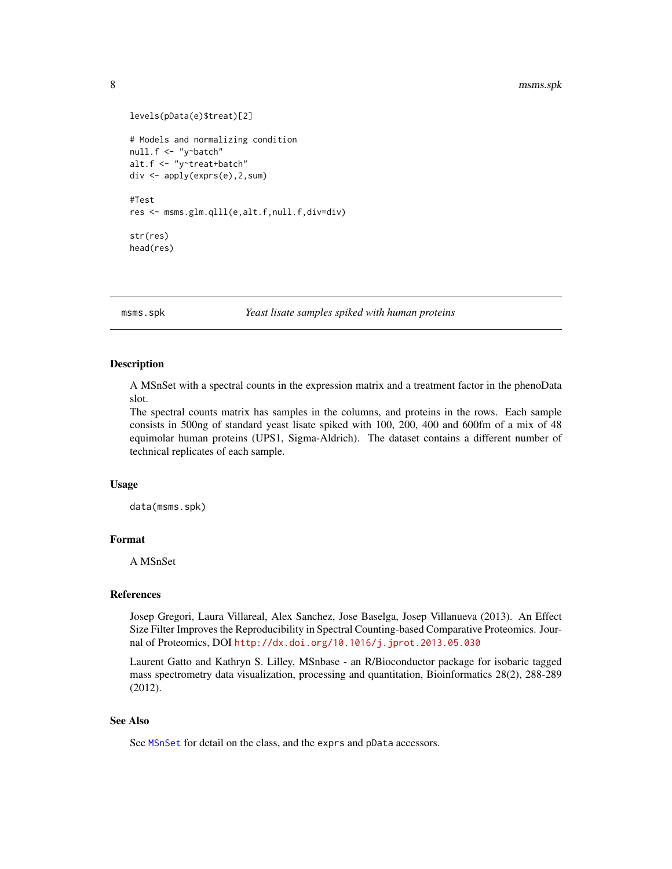```
levels(pData(e)$treat)[2]
# Models and normalizing condition
null.f <- "y~batch"
alt.f <- "y~treat+batch"
div <- apply(exprs(e),2,sum)
#Test
res <- msms.glm.qlll(e,alt.f,null.f,div=div)
str(res)
head(res)
```
msms.spk *Yeast lisate samples spiked with human proteins*

#### Description

A MSnSet with a spectral counts in the expression matrix and a treatment factor in the phenoData slot.

The spectral counts matrix has samples in the columns, and proteins in the rows. Each sample consists in 500ng of standard yeast lisate spiked with 100, 200, 400 and 600fm of a mix of 48 equimolar human proteins (UPS1, Sigma-Aldrich). The dataset contains a different number of technical replicates of each sample.

#### Usage

data(msms.spk)

## Format

A MSnSet

#### References

Josep Gregori, Laura Villareal, Alex Sanchez, Jose Baselga, Josep Villanueva (2013). An Effect Size Filter Improves the Reproducibility in Spectral Counting-based Comparative Proteomics. Journal of Proteomics, DOI <http://dx.doi.org/10.1016/j.jprot.2013.05.030>

Laurent Gatto and Kathryn S. Lilley, MSnbase - an R/Bioconductor package for isobaric tagged mass spectrometry data visualization, processing and quantitation, Bioinformatics 28(2), 288-289 (2012).

#### See Also

See [MSnSet](#page-0-0) for detail on the class, and the exprs and pData accessors.

<span id="page-7-0"></span>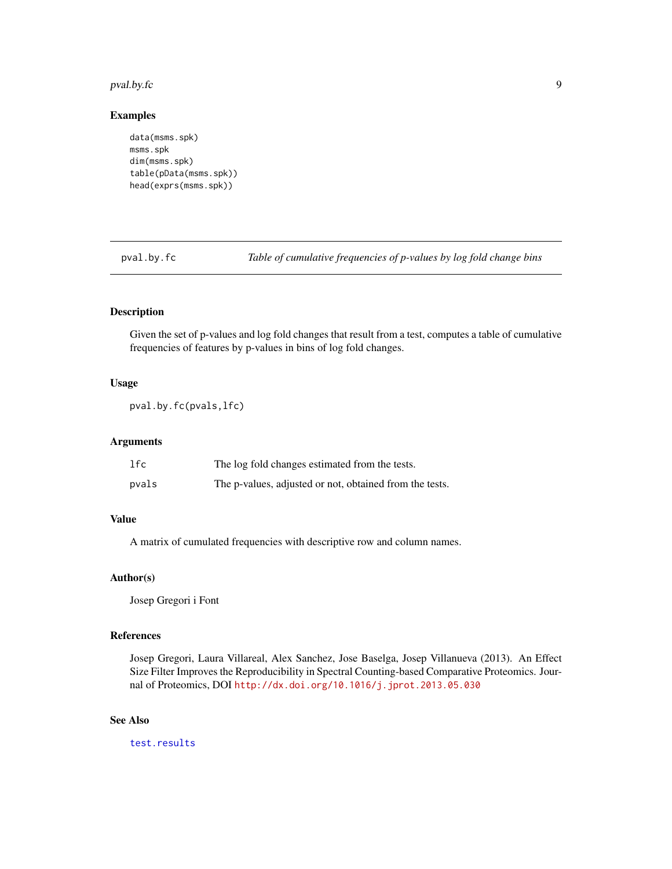#### <span id="page-8-0"></span>pval.by.fc 9

#### Examples

```
data(msms.spk)
msms.spk
dim(msms.spk)
table(pData(msms.spk))
head(exprs(msms.spk))
```
<span id="page-8-1"></span>pval.by.fc *Table of cumulative frequencies of p-values by log fold change bins*

## Description

Given the set of p-values and log fold changes that result from a test, computes a table of cumulative frequencies of features by p-values in bins of log fold changes.

#### Usage

pval.by.fc(pvals,lfc)

## Arguments

| 1fc   | The log fold changes estimated from the tests.          |
|-------|---------------------------------------------------------|
| pvals | The p-values, adjusted or not, obtained from the tests. |

## Value

A matrix of cumulated frequencies with descriptive row and column names.

#### Author(s)

Josep Gregori i Font

#### References

Josep Gregori, Laura Villareal, Alex Sanchez, Jose Baselga, Josep Villanueva (2013). An Effect Size Filter Improves the Reproducibility in Spectral Counting-based Comparative Proteomics. Journal of Proteomics, DOI <http://dx.doi.org/10.1016/j.jprot.2013.05.030>

#### See Also

[test.results](#page-11-1)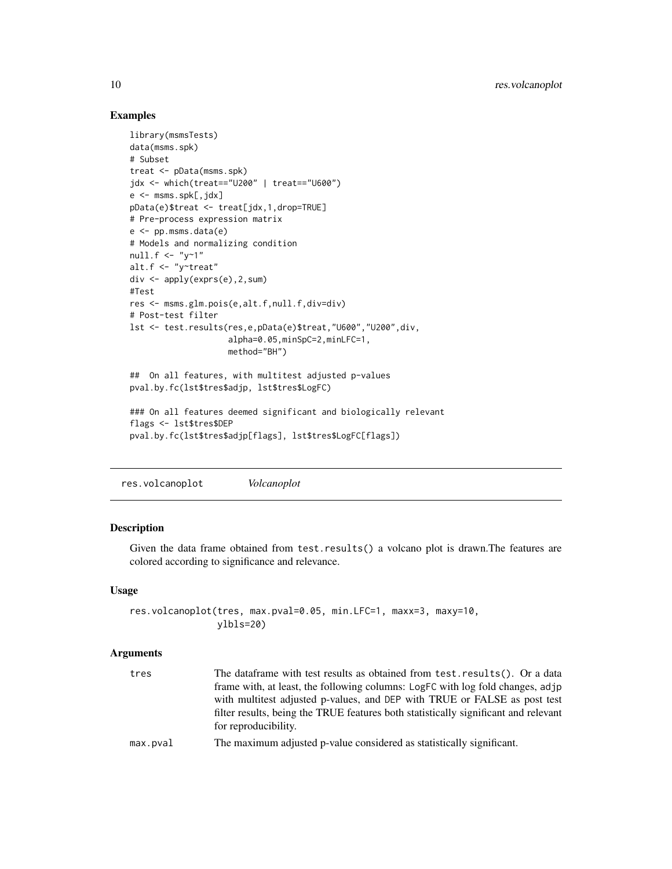## Examples

```
library(msmsTests)
data(msms.spk)
# Subset
treat <- pData(msms.spk)
jdx <- which(treat=="U200" | treat=="U600")
e <- msms.spk[,jdx]
pData(e)$treat <- treat[jdx,1,drop=TRUE]
# Pre-process expression matrix
e <- pp.msms.data(e)
# Models and normalizing condition
null.f < - "y~1"
alt.f <- "y~treat"
div <- apply(exprs(e),2,sum)
#Test
res <- msms.glm.pois(e,alt.f,null.f,div=div)
# Post-test filter
lst <- test.results(res,e,pData(e)$treat,"U600","U200",div,
                    alpha=0.05,minSpC=2,minLFC=1,
                    method="BH")
## On all features, with multitest adjusted p-values
pval.by.fc(lst$tres$adjp, lst$tres$LogFC)
### On all features deemed significant and biologically relevant
flags <- lst$tres$DEP
pval.by.fc(lst$tres$adjp[flags], lst$tres$LogFC[flags])
```
res.volcanoplot *Volcanoplot*

## Description

Given the data frame obtained from test.results() a volcano plot is drawn.The features are colored according to significance and relevance.

## Usage

```
res.volcanoplot(tres, max.pval=0.05, min.LFC=1, maxx=3, maxy=10,
                ylbls=20)
```
#### Arguments

| tres     | The data frame with test results as obtained from test. results (). Or a data       |
|----------|-------------------------------------------------------------------------------------|
|          | frame with, at least, the following columns: LogFC with log fold changes, adjp      |
|          | with multitest adjusted p-values, and DEP with TRUE or FALSE as post test           |
|          | filter results, being the TRUE features both statistically significant and relevant |
|          | for reproducibility.                                                                |
| max.pval | The maximum adjusted p-value considered as statistically significant.               |

<span id="page-9-0"></span>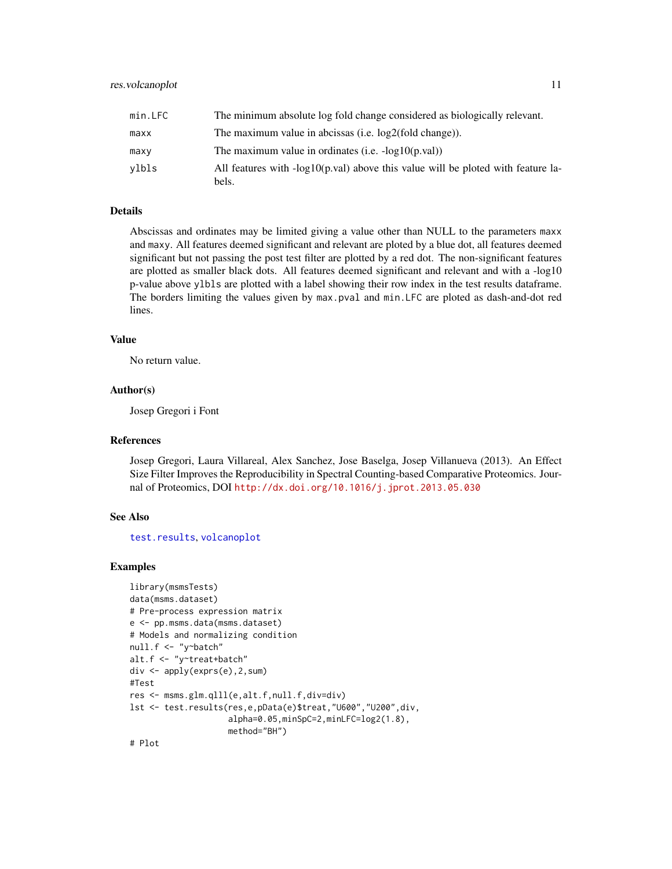<span id="page-10-0"></span>

| min.LFC | The minimum absolute log fold change considered as biologically relevant.                 |
|---------|-------------------------------------------------------------------------------------------|
| maxx    | The maximum value in abcissas (i.e. $log2(fold change)$ ).                                |
| maxv    | The maximum value in ordinates (i.e. $-log10(p.val)$ )                                    |
| vlbls   | All features with -log10(p.val) above this value will be ploted with feature la-<br>bels. |

#### Details

Abscissas and ordinates may be limited giving a value other than NULL to the parameters maxx and maxy. All features deemed significant and relevant are ploted by a blue dot, all features deemed significant but not passing the post test filter are plotted by a red dot. The non-significant features are plotted as smaller black dots. All features deemed significant and relevant and with a -log10 p-value above ylbls are plotted with a label showing their row index in the test results dataframe. The borders limiting the values given by max.pval and min.LFC are ploted as dash-and-dot red lines.

## Value

No return value.

#### Author(s)

Josep Gregori i Font

#### References

Josep Gregori, Laura Villareal, Alex Sanchez, Jose Baselga, Josep Villanueva (2013). An Effect Size Filter Improves the Reproducibility in Spectral Counting-based Comparative Proteomics. Journal of Proteomics, DOI <http://dx.doi.org/10.1016/j.jprot.2013.05.030>

#### See Also

[test.results](#page-11-1), [volcanoplot](#page-0-0)

#### Examples

```
library(msmsTests)
data(msms.dataset)
# Pre-process expression matrix
e <- pp.msms.data(msms.dataset)
# Models and normalizing condition
null.f <- "y~batch"
alt.f <- "y~treat+batch"
div <- apply(exprs(e),2,sum)
#Test
res <- msms.glm.qlll(e,alt.f,null.f,div=div)
lst <- test.results(res,e,pData(e)$treat,"U600","U200",div,
                    alpha=0.05,minSpC=2,minLFC=log2(1.8),
                    method="BH")
# Plot
```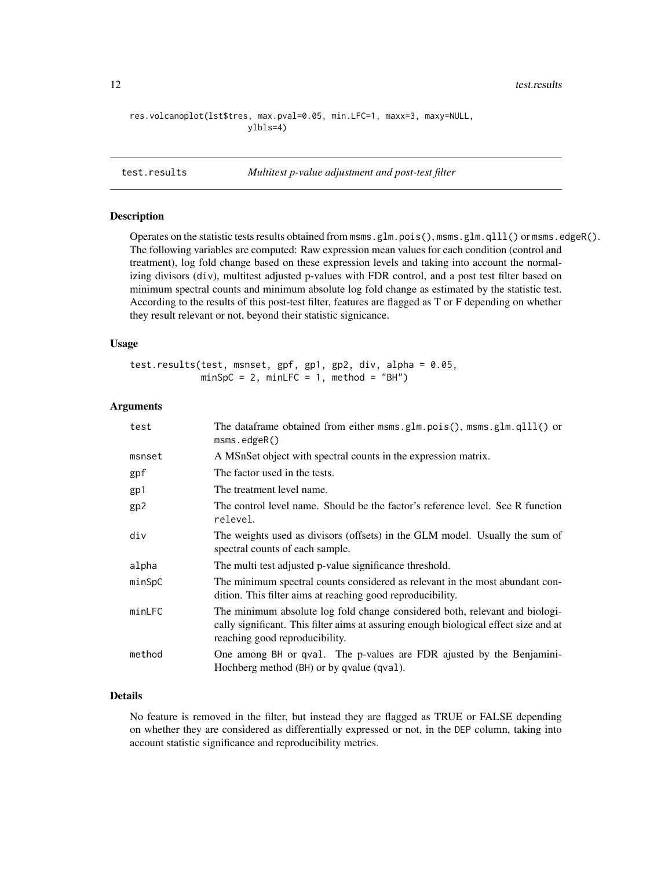```
res.volcanoplot(lst$tres, max.pval=0.05, min.LFC=1, maxx=3, maxy=NULL,
                       ylbls=4)
```
<span id="page-11-1"></span>test.results *Multitest p-value adjustment and post-test filter*

### Description

Operates on the statistic tests results obtained from msms.glm.pois(), msms.glm.qlll() or msms.edgeR(). The following variables are computed: Raw expression mean values for each condition (control and treatment), log fold change based on these expression levels and taking into account the normalizing divisors (div), multitest adjusted p-values with FDR control, and a post test filter based on minimum spectral counts and minimum absolute log fold change as estimated by the statistic test. According to the results of this post-test filter, features are flagged as T or F depending on whether they result relevant or not, beyond their statistic signicance.

#### Usage

```
test.results(test, msnset, gpf, gp1, gp2, div, alpha = 0.05,
            minSpC = 2, minLFC = 1, method = "BH")
```
#### Arguments

| test            | The data frame obtained from either msms.glm.pois(), msms.glm.qlll() or<br>msms.edugeR()                                                                                                              |
|-----------------|-------------------------------------------------------------------------------------------------------------------------------------------------------------------------------------------------------|
| msnset          | A MSnSet object with spectral counts in the expression matrix.                                                                                                                                        |
| gpf             | The factor used in the tests.                                                                                                                                                                         |
| gp1             | The treatment level name.                                                                                                                                                                             |
| gp <sub>2</sub> | The control level name. Should be the factor's reference level. See R function<br>relevel.                                                                                                            |
| div             | The weights used as divisors (offsets) in the GLM model. Usually the sum of<br>spectral counts of each sample.                                                                                        |
| alpha           | The multi test adjusted p-value significance threshold.                                                                                                                                               |
| minSpC          | The minimum spectral counts considered as relevant in the most abundant con-<br>dition. This filter aims at reaching good reproducibility.                                                            |
| minLFC          | The minimum absolute log fold change considered both, relevant and biologi-<br>cally significant. This filter aims at assuring enough biological effect size and at<br>reaching good reproducibility. |
| method          | One among BH or qval. The p-values are FDR ajusted by the Benjamini-<br>Hochberg method (BH) or by qvalue (qval).                                                                                     |

## Details

No feature is removed in the filter, but instead they are flagged as TRUE or FALSE depending on whether they are considered as differentially expressed or not, in the DEP column, taking into account statistic significance and reproducibility metrics.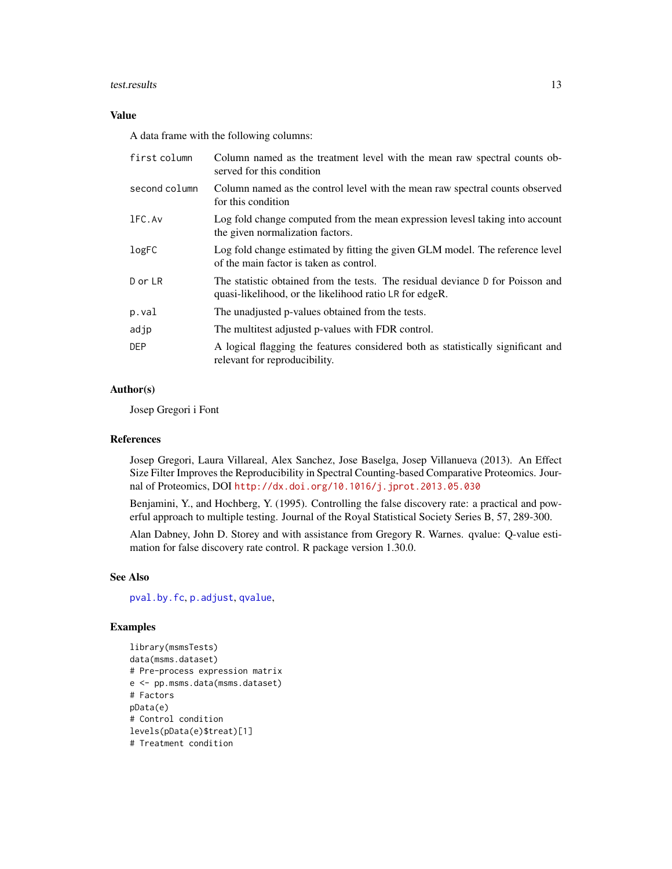#### <span id="page-12-0"></span>test.results and the state of the state of the state of the state of the state of the state of the state of the state of the state of the state of the state of the state of the state of the state of the state of the state

## Value

A data frame with the following columns:

| first column  | Column named as the treatment level with the mean raw spectral counts ob-<br>served for this condition                                    |
|---------------|-------------------------------------------------------------------------------------------------------------------------------------------|
| second column | Column named as the control level with the mean raw spectral counts observed<br>for this condition                                        |
| 1FC.Av        | Log fold change computed from the mean expression levesl taking into account<br>the given normalization factors.                          |
| logFC         | Log fold change estimated by fitting the given GLM model. The reference level<br>of the main factor is taken as control.                  |
| D or LR       | The statistic obtained from the tests. The residual deviance D for Poisson and<br>quasi-likelihood, or the likelihood ratio LR for edgeR. |
| p.val         | The unadjusted p-values obtained from the tests.                                                                                          |
| adjp          | The multitest adjusted p-values with FDR control.                                                                                         |
| DEP.          | A logical flagging the features considered both as statistically significant and<br>relevant for reproducibility.                         |

#### Author(s)

Josep Gregori i Font

## References

Josep Gregori, Laura Villareal, Alex Sanchez, Jose Baselga, Josep Villanueva (2013). An Effect Size Filter Improves the Reproducibility in Spectral Counting-based Comparative Proteomics. Journal of Proteomics, DOI <http://dx.doi.org/10.1016/j.jprot.2013.05.030>

Benjamini, Y., and Hochberg, Y. (1995). Controlling the false discovery rate: a practical and powerful approach to multiple testing. Journal of the Royal Statistical Society Series B, 57, 289-300.

Alan Dabney, John D. Storey and with assistance from Gregory R. Warnes. qvalue: Q-value estimation for false discovery rate control. R package version 1.30.0.

#### See Also

[pval.by.fc](#page-8-1), [p.adjust](#page-0-0), [qvalue](#page-0-0),

## Examples

```
library(msmsTests)
data(msms.dataset)
# Pre-process expression matrix
e <- pp.msms.data(msms.dataset)
# Factors
pData(e)
# Control condition
levels(pData(e)$treat)[1]
# Treatment condition
```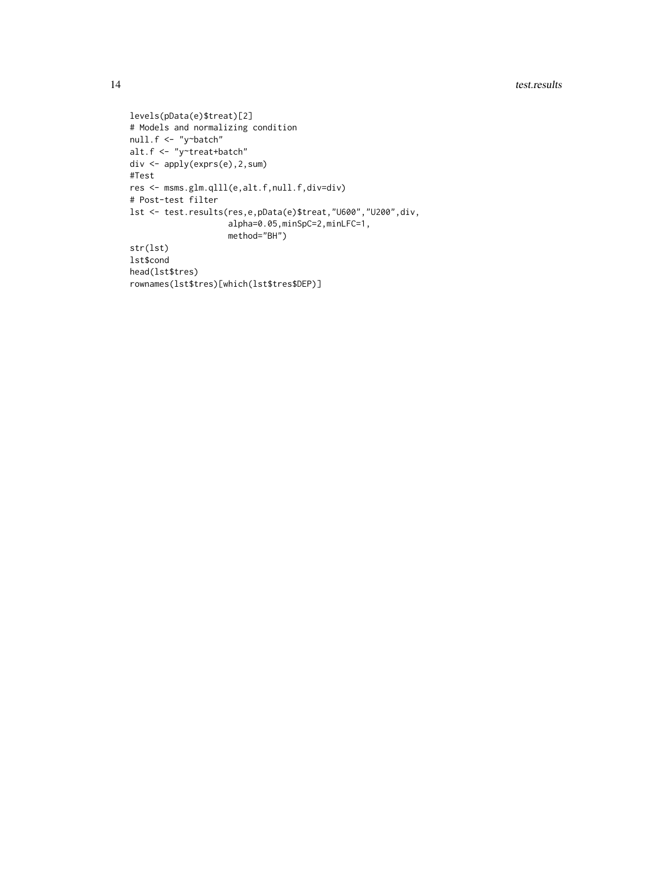```
levels(pData(e)$treat)[2]
# Models and normalizing condition
null.f <- "y~batch"
alt.f <- "y~treat+batch"
div <- apply(exprs(e),2,sum)
#Test
res <- msms.glm.qlll(e,alt.f,null.f,div=div)
# Post-test filter
lst <- test.results(res,e,pData(e)$treat,"U600","U200",div,
                    alpha=0.05,minSpC=2,minLFC=1,
                    method="BH")
str(lst)
lst$cond
head(lst$tres)
rownames(lst$tres)[which(lst$tres$DEP)]
```